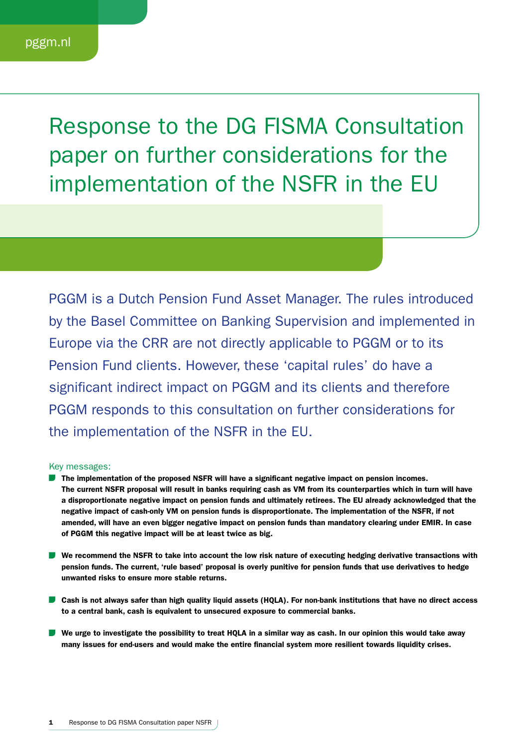Response to the DG FISMA Consultation paper on further considerations for the implementation of the NSFR in the EU

PGGM is a Dutch Pension Fund Asset Manager. The rules introduced by the Basel Committee on Banking Supervision and implemented in Europe via the CRR are not directly applicable to PGGM or to its Pension Fund clients. However, these 'capital rules' do have a significant indirect impact on PGGM and its clients and therefore PGGM responds to this consultation on further considerations for the implementation of the NSFR in the EU.

## Key messages:

- **The implementation of the proposed NSFR will have a significant negative impact on pension incomes.** The current NSFR proposal will result in banks requiring cash as VM from its counterparties which in turn will have a disproportionate negative impact on pension funds and ultimately retirees. The EU already acknowledged that the negative impact of cash-only VM on pension funds is disproportionate. The implementation of the NSFR, if not amended, will have an even bigger negative impact on pension funds than mandatory clearing under EMIR. In case of PGGM this negative impact will be at least twice as big.
- We recommend the NSFR to take into account the low risk nature of executing hedging derivative transactions with pension funds. The current, 'rule based' proposal is overly punitive for pension funds that use derivatives to hedge unwanted risks to ensure more stable returns.
- Cash is not always safer than high quality liquid assets (HQLA). For non-bank institutions that have no direct access to a central bank, cash is equivalent to unsecured exposure to commercial banks.
- We urge to investigate the possibility to treat HQLA in a similar way as cash. In our opinion this would take away many issues for end-users and would make the entire financial system more resilient towards liquidity crises.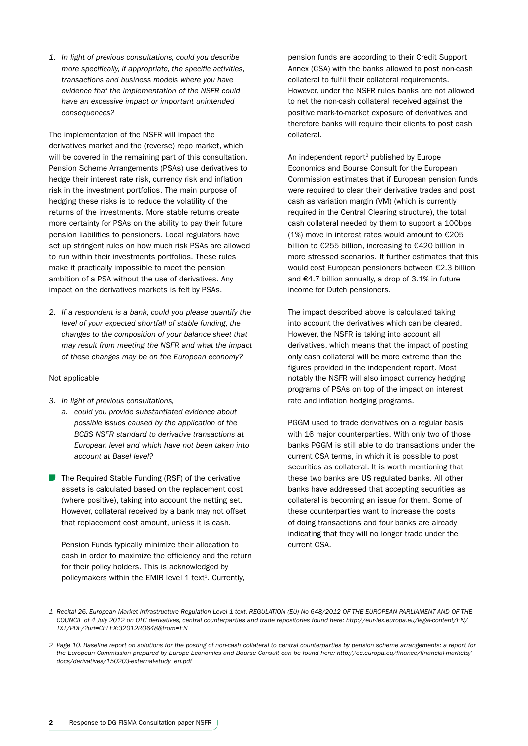*1. In light of previous consultations, could you describe more specifically, if appropriate, the specific activities, transactions and business models where you have evidence that the implementation of the NSFR could have an excessive impact or important unintended consequences?* 

The implementation of the NSFR will impact the derivatives market and the (reverse) repo market, which will be covered in the remaining part of this consultation. Pension Scheme Arrangements (PSAs) use derivatives to hedge their interest rate risk, currency risk and inflation risk in the investment portfolios. The main purpose of hedging these risks is to reduce the volatility of the returns of the investments. More stable returns create more certainty for PSAs on the ability to pay their future pension liabilities to pensioners. Local regulators have set up stringent rules on how much risk PSAs are allowed to run within their investments portfolios. These rules make it practically impossible to meet the pension ambition of a PSA without the use of derivatives. Any impact on the derivatives markets is felt by PSAs.

*2. If a respondent is a bank, could you please quantify the level of your expected shortfall of stable funding, the changes to the composition of your balance sheet that may result from meeting the NSFR and what the impact of these changes may be on the European economy?* 

## Not applicable

- *3. In light of previous consultations,* 
	- *a. could you provide substantiated evidence about possible issues caused by the application of the BCBS NSFR standard to derivative transactions at European level and which have not been taken into account at Basel level?*
- The Required Stable Funding (RSF) of the derivative assets is calculated based on the replacement cost (where positive), taking into account the netting set. However, collateral received by a bank may not offset that replacement cost amount, unless it is cash.

Pension Funds typically minimize their allocation to cash in order to maximize the efficiency and the return for their policy holders. This is acknowledged by policymakers within the EMIR level  $1$  text<sup>1</sup>. Currently,

pension funds are according to their Credit Support Annex (CSA) with the banks allowed to post non-cash collateral to fulfil their collateral requirements. However, under the NSFR rules banks are not allowed to net the non-cash collateral received against the positive mark-to-market exposure of derivatives and therefore banks will require their clients to post cash collateral.

An independent report<sup>2</sup> published by Europe Economics and Bourse Consult for the European Commission estimates that if European pension funds were required to clear their derivative trades and post cash as variation margin (VM) (which is currently required in the Central Clearing structure), the total cash collateral needed by them to support a 100bps (1%) move in interest rates would amount to  $£205$ billion to €255 billion, increasing to €420 billion in more stressed scenarios. It further estimates that this would cost European pensioners between €2.3 billion and €4.7 billion annually, a drop of 3.1% in future income for Dutch pensioners.

The impact described above is calculated taking into account the derivatives which can be cleared. However, the NSFR is taking into account all derivatives, which means that the impact of posting only cash collateral will be more extreme than the figures provided in the independent report. Most notably the NSFR will also impact currency hedging programs of PSAs on top of the impact on interest rate and inflation hedging programs.

PGGM used to trade derivatives on a regular basis with 16 major counterparties. With only two of those banks PGGM is still able to do transactions under the current CSA terms, in which it is possible to post securities as collateral. It is worth mentioning that these two banks are US regulated banks. All other banks have addressed that accepting securities as collateral is becoming an issue for them. Some of these counterparties want to increase the costs of doing transactions and four banks are already indicating that they will no longer trade under the current CSA.

*<sup>1</sup> Recital 26. European Market Infrastructure Regulation Level 1 text. REGULATION (EU) No 648/2012 OF THE EUROPEAN PARLIAMENT AND OF THE COUNCIL of 4 July 2012 on OTC derivatives, central counterparties and trade repositories found here: http://eur-lex.europa.eu/legal-content/EN/ TXT/PDF/?uri=CELEX:32012R0648&from=EN*

*<sup>2</sup> Page 10. Baseline report on solutions for the posting of non-cash collateral to central counterparties by pension scheme arrangements: a report for the European Commission prepared by Europe Economics and Bourse Consult can be found here: http://ec.europa.eu/finance/financial-markets/ docs/derivatives/150203-external-study\_en.pdf*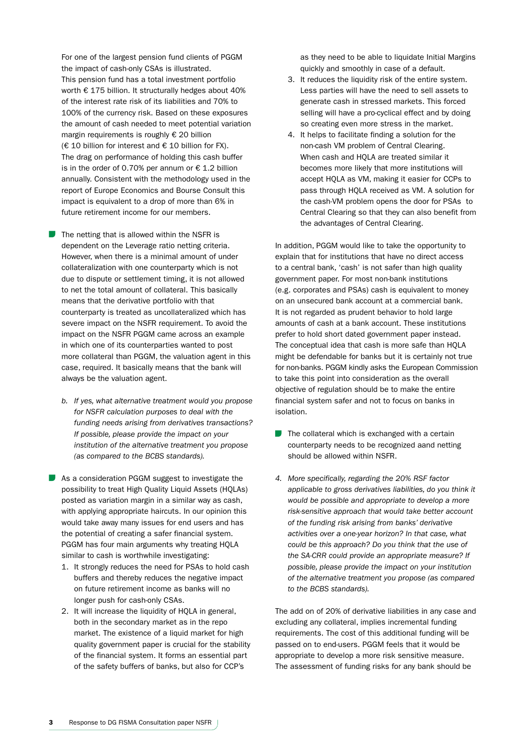For one of the largest pension fund clients of PGGM the impact of cash-only CSAs is illustrated. This pension fund has a total investment portfolio worth € 175 billion. It structurally hedges about 40% of the interest rate risk of its liabilities and 70% to 100% of the currency risk. Based on these exposures the amount of cash needed to meet potential variation margin requirements is roughly € 20 billion (€ 10 billion for interest and € 10 billion for FX). The drag on performance of holding this cash buffer is in the order of 0.70% per annum or  $\epsilon$  1.2 billion annually. Consistent with the methodology used in the report of Europe Economics and Bourse Consult this impact is equivalent to a drop of more than 6% in future retirement income for our members.

- The netting that is allowed within the NSFR is dependent on the Leverage ratio netting criteria. However, when there is a minimal amount of under collateralization with one counterparty which is not due to dispute or settlement timing, it is not allowed to net the total amount of collateral. This basically means that the derivative portfolio with that counterparty is treated as uncollateralized which has severe impact on the NSFR requirement. To avoid the impact on the NSFR PGGM came across an example in which one of its counterparties wanted to post more collateral than PGGM, the valuation agent in this case, required. It basically means that the bank will always be the valuation agent.
	- *b. If yes, what alternative treatment would you propose for NSFR calculation purposes to deal with the funding needs arising from derivatives transactions? If possible, please provide the impact on your institution of the alternative treatment you propose (as compared to the BCBS standards).*

As a consideration PGGM suggest to investigate the possibility to treat High Quality Liquid Assets (HQLAs) posted as variation margin in a similar way as cash, with applying appropriate haircuts. In our opinion this would take away many issues for end users and has the potential of creating a safer financial system. PGGM has four main arguments why treating HQLA similar to cash is worthwhile investigating:

- 1. It strongly reduces the need for PSAs to hold cash buffers and thereby reduces the negative impact on future retirement income as banks will no longer push for cash-only CSAs.
- 2. It will increase the liquidity of HQLA in general, both in the secondary market as in the repo market. The existence of a liquid market for high quality government paper is crucial for the stability of the financial system. It forms an essential part of the safety buffers of banks, but also for CCP's

as they need to be able to liquidate Initial Margins quickly and smoothly in case of a default.

- 3. It reduces the liquidity risk of the entire system. Less parties will have the need to sell assets to generate cash in stressed markets. This forced selling will have a pro-cyclical effect and by doing so creating even more stress in the market.
- 4. It helps to facilitate finding a solution for the non-cash VM problem of Central Clearing. When cash and HQLA are treated similar it becomes more likely that more institutions will accept HQLA as VM, making it easier for CCPs to pass through HQLA received as VM. A solution for the cash-VM problem opens the door for PSAs to Central Clearing so that they can also benefit from the advantages of Central Clearing.

In addition, PGGM would like to take the opportunity to explain that for institutions that have no direct access to a central bank, 'cash' is not safer than high quality government paper. For most non-bank institutions (e.g. corporates and PSAs) cash is equivalent to money on an unsecured bank account at a commercial bank. It is not regarded as prudent behavior to hold large amounts of cash at a bank account. These institutions prefer to hold short dated government paper instead. The conceptual idea that cash is more safe than HQLA might be defendable for banks but it is certainly not true for non-banks. PGGM kindly asks the European Commission to take this point into consideration as the overall objective of regulation should be to make the entire financial system safer and not to focus on banks in isolation.

- $\blacksquare$  The collateral which is exchanged with a certain counterparty needs to be recognized aand netting should be allowed within NSFR.
- *4. More specifically, regarding the 20% RSF factor applicable to gross derivatives liabilities, do you think it would be possible and appropriate to develop a more risk-sensitive approach that would take better account of the funding risk arising from banks' derivative activities over a one-year horizon? In that case, what could be this approach? Do you think that the use of the SA-CRR could provide an appropriate measure? If possible, please provide the impact on your institution of the alternative treatment you propose (as compared to the BCBS standards).*

The add on of 20% of derivative liabilities in any case and excluding any collateral, implies incremental funding requirements. The cost of this additional funding will be passed on to end-users. PGGM feels that it would be appropriate to develop a more risk sensitive measure. The assessment of funding risks for any bank should be